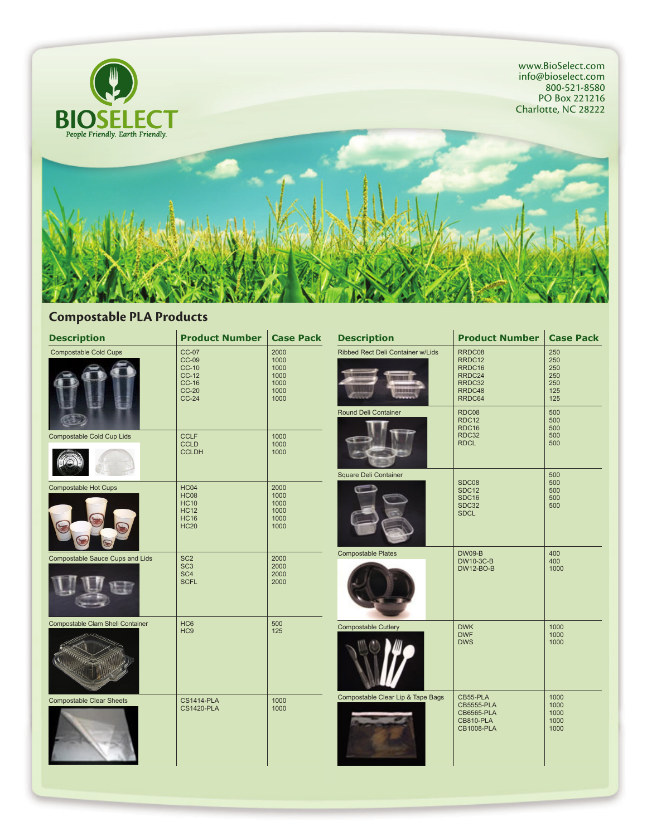

### **Compostable PLA Products**

| <b>Description</b>                      | <b>Product Number</b>                                                                    | <b>Case Pack</b>                                     | <b>Description</b>                | <b>Product Number</b>                                                                       | <b>Case Pack</b>                              |
|-----------------------------------------|------------------------------------------------------------------------------------------|------------------------------------------------------|-----------------------------------|---------------------------------------------------------------------------------------------|-----------------------------------------------|
| <b>Compostable Cold Cups</b>            | <b>CC-07</b><br><b>CC-09</b><br><b>CC-10</b><br>$CC-12$<br>$CC-16$<br>$CC-20$<br>$CC-24$ | 2000<br>1000<br>1000<br>1000<br>1000<br>1000<br>1000 | Ribbed Rect Deli Container w/Lids | RRDC08<br>RRDC12<br>RRDC16<br>RRDC24<br>RRDC32<br>RRDC48<br>RRDC64                          | 250<br>250<br>250<br>250<br>250<br>125<br>125 |
|                                         |                                                                                          |                                                      | Round Deli Container              | RDC08<br><b>RDC12</b><br>RDC16                                                              | 500<br>500<br>500                             |
| Compostable Cold Cup Lids               | <b>CCLF</b><br><b>CCLD</b><br><b>CCLDH</b>                                               | 1000<br>1000<br>1000                                 |                                   | RDC32<br><b>RDCL</b>                                                                        | 500<br>500                                    |
| <b>Compostable Hot Cups</b>             | <b>HC04</b><br><b>HC08</b><br><b>HC10</b><br><b>HC12</b><br><b>HC16</b><br><b>HC20</b>   | 2000<br>1000<br>1000<br>1000<br>1000<br>1000         | Square Deli Container             | SDC08<br>SDC <sub>12</sub><br>SDC <sub>16</sub><br>SDC32<br><b>SDCL</b>                     | 500<br>500<br>500<br>500<br>500               |
| Compostable Sauce Cups and Lids         | SC <sub>2</sub><br>SC <sub>3</sub><br>SC <sub>4</sub><br><b>SCFL</b>                     | 2000<br>2000<br>2000<br>2000                         | <b>Compostable Plates</b>         | <b>DW09-B</b><br>DW10-3C-B<br><b>DW12-BO-B</b>                                              | 400<br>400<br>1000                            |
| <b>Compostable Clam Shell Container</b> | HC <sub>6</sub><br>HC <sub>9</sub>                                                       | 500<br>125                                           | <b>Compostable Cutlery</b>        | <b>DWK</b><br><b>DWF</b><br><b>DWS</b>                                                      | 1000<br>1000<br>1000                          |
| <b>Compostable Clear Sheets</b>         | <b>CS1414-PLA</b><br><b>CS1420-PLA</b>                                                   | 1000<br>1000                                         | Compostable Clear Lip & Tape Bags | CB55-PLA<br><b>CB5555-PLA</b><br><b>CB6565-PLA</b><br><b>CB810-PLA</b><br><b>CB1008-PLA</b> | 1000<br>1000<br>1000<br>1000<br>1000          |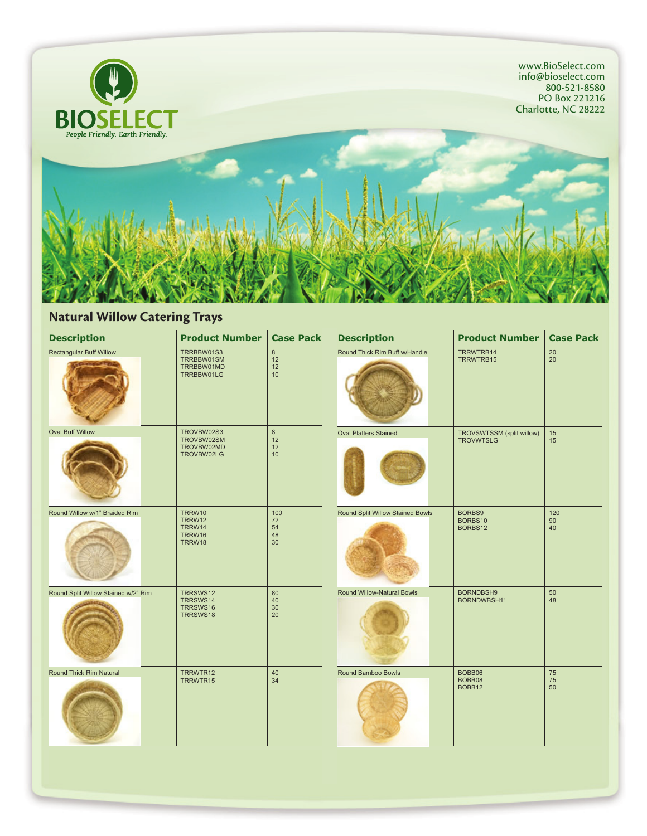

#### **Natural Willow Catering Trays**

| <b>Description</b>                  | <b>Product Number</b>                                | <b>Case Pack</b>            | <b>Description</b>               | <b>Product Number</b>                         | <b>Case Pack</b> |
|-------------------------------------|------------------------------------------------------|-----------------------------|----------------------------------|-----------------------------------------------|------------------|
| <b>Rectangular Buff Willow</b>      | TRRBBW01S3<br>TRRBBW01SM<br>TRRBBW01MD<br>TRRBBW01LG | $\bf 8$<br>12<br>12<br>10   | Round Thick Rim Buff w/Handle    | TRRWTRB14<br>TRRWTRB15                        | 20<br>$20\,$     |
| <b>Oval Buff Willow</b>             | TROVBW02S3<br>TROVBW02SM<br>TROVBW02MD<br>TROVBW02LG | $\bf 8$<br>12<br>12<br>10   | <b>Oval Platters Stained</b>     | TROVSWTSSM (split willow)<br><b>TROVWTSLG</b> | 15<br>15         |
| Round Willow w/1" Braided Rim       | TRRW10<br>TRRW12<br>TRRW14<br>TRRW16<br>TRRW18       | 100<br>72<br>54<br>48<br>30 | Round Split Willow Stained Bowls | BORBS9<br>BORBS10<br>BORBS12                  | 120<br>90<br>40  |
| Round Split Willow Stained w/2" Rim | TRRSWS12<br>TRRSWS14<br>TRRSWS16<br>TRRSWS18         | 80<br>40<br>30<br>20        | Round Willow-Natural Bowls       | BORNDBSH9<br>BORNDWBSH11                      | 50<br>48         |
| Round Thick Rim Natural             | TRRWTR12<br>TRRWTR15                                 | 40<br>34                    | Round Bamboo Bowls               | BOBB06<br>BOBB08<br>BOBB12                    | 75<br>75<br>50   |